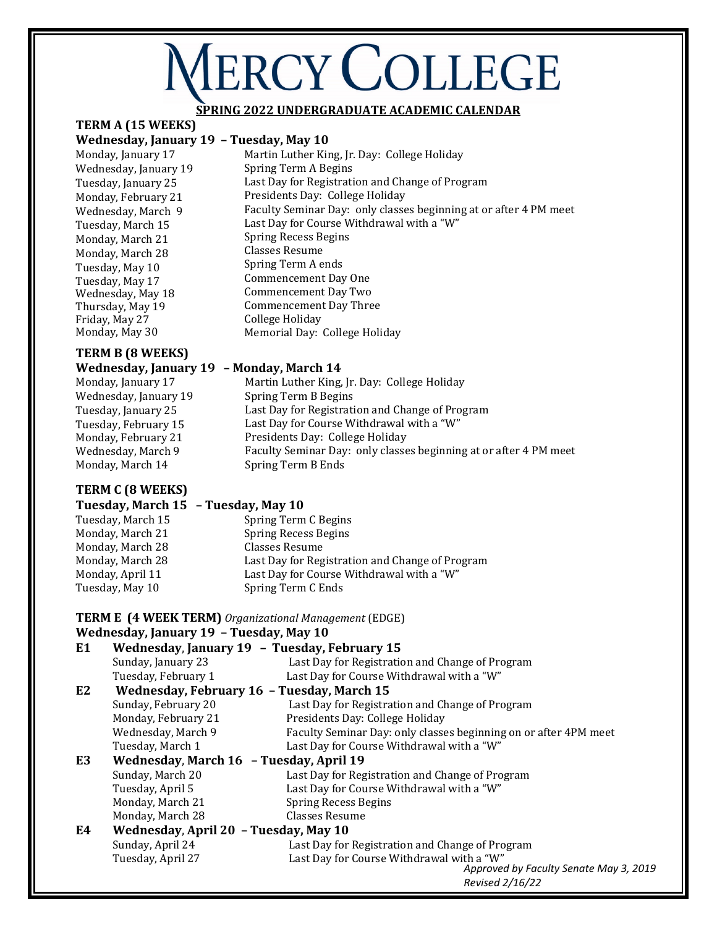# **VERCY COLLEGE**

# **SPRING 2022 UNDERGRADUATE ACADEMIC CALENDAR**

Last Day for Registration and Change of Program

Last Day for Course Withdrawal with a "W"

Martin Luther King, Jr. Day: College Holiday

Faculty Seminar Day: only classes beginning at or after 4 PM meet

# **TERM A (15 WEEKS)**

#### **Wednesday, January 19 – Tuesday, May 10**  Martin Luther King, Jr. Day: College Holiday

Monday, January 17 Wednesday, January 19 Tuesday, January 25 Monday, February 21 Wednesday, March 9 Tuesday, March 15 Monday, March 21 Monday, March 28 Tuesday, May 10 Tuesday, May 17 Wednesday, May 18 Thursday, May 19 Friday, May 27 Monday, May 30

# **TERM B (8 WEEKS)**

**Wednesday, January 19 – Monday, March 14**  Monday, January 17 Wednesday, January 19 Tuesday, January 25 Tuesday, February 15 Monday, February 21 Wednesday, March 9<br>Monday, March 14

# **TERM C (8 WEEKS)**

Last Day for Registration and Change of Program Last Day for Course Withdrawal with a "W" Presidents Day: College Holiday Faculty Seminar Day: only classes beginning at or after 4 PM meet

Spring Term B Ends

Spring Term B Begins

Spring Term A Begins

Spring Recess Begins Classes Resume Spring Term A ends Commencement Day One Commencement Day Two Commencement Day Three

College Holiday

Presidents Day: College Holiday

Memorial Day: College Holiday

# **Tuesday, March 15 – Tuesday, May 10**  Tuesday, March 15Spring Term C Begins

| Monday, March 21 | Spring Recess Begins                            |
|------------------|-------------------------------------------------|
| Monday, March 28 | Classes Resume                                  |
| Monday, March 28 | Last Day for Registration and Change of Program |
| Monday, April 11 | Last Day for Course Withdrawal with a "W"       |
| Tuesday, May 10  | Spring Term C Ends                              |

# **TERM E (4 WEEK TERM)** *Organizational Management* (EDGE)

# **Wednesday, January 19 – Tuesday, May 10**

| E <sub>1</sub>                                   |                                         | Wednesday, January 19 - Tuesday, February 15                     |
|--------------------------------------------------|-----------------------------------------|------------------------------------------------------------------|
|                                                  | Sunday, January 23                      | Last Day for Registration and Change of Program                  |
|                                                  | Tuesday, February 1                     | Last Day for Course Withdrawal with a "W"                        |
| E2<br>Wednesday, February 16 - Tuesday, March 15 |                                         |                                                                  |
|                                                  | Sunday, February 20                     | Last Day for Registration and Change of Program                  |
|                                                  | Monday, February 21                     | Presidents Day: College Holiday                                  |
|                                                  | Wednesday, March 9                      | Faculty Seminar Day: only classes beginning on or after 4PM meet |
|                                                  | Tuesday, March 1                        | Last Day for Course Withdrawal with a "W"                        |
| E3                                               | Wednesday, March 16 - Tuesday, April 19 |                                                                  |
|                                                  | Sunday, March 20                        | Last Day for Registration and Change of Program                  |
|                                                  | Tuesday, April 5                        | Last Day for Course Withdrawal with a "W"                        |
|                                                  | Monday, March 21                        | <b>Spring Recess Begins</b>                                      |
|                                                  | Monday, March 28                        | Classes Resume                                                   |
| E4                                               | Wednesday, April 20 - Tuesday, May 10   |                                                                  |
|                                                  | Sunday, April 24                        | Last Day for Registration and Change of Program                  |
|                                                  | Tuesday, April 27                       | Last Day for Course Withdrawal with a "W"                        |
|                                                  |                                         | Approved by Faculty Senate May 3, 2019                           |
|                                                  |                                         | Revised 2/16/22                                                  |